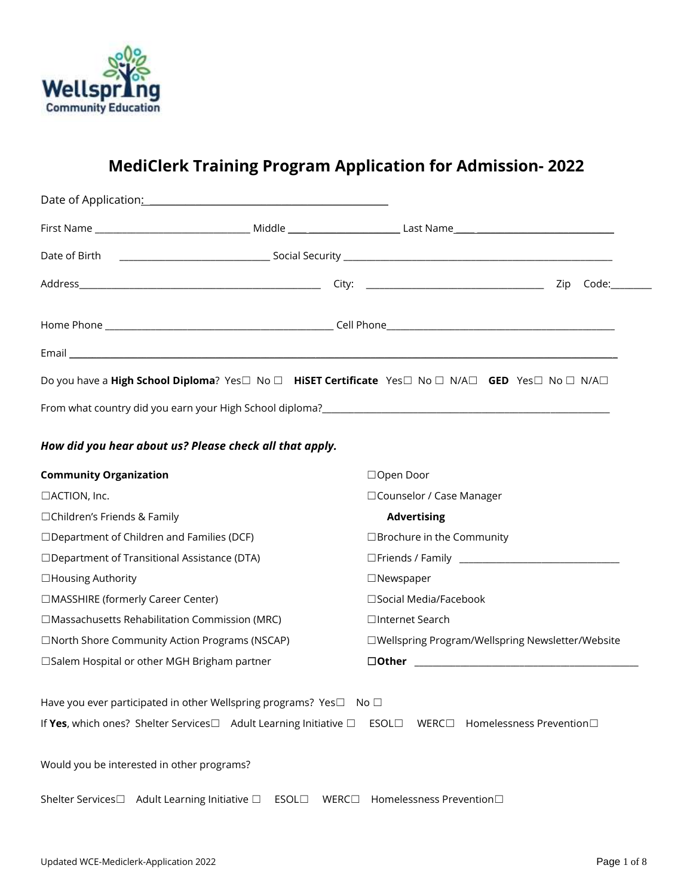

# **MediClerk Training Program Application for Admission- 2022**

| Date of Application: National Action of Application of Application of Application of Application of Application |      |                                                   |
|-----------------------------------------------------------------------------------------------------------------|------|---------------------------------------------------|
|                                                                                                                 |      |                                                   |
| Date of Birth                                                                                                   |      |                                                   |
|                                                                                                                 |      | $Code:\_\_$                                       |
|                                                                                                                 |      |                                                   |
|                                                                                                                 |      |                                                   |
| Do you have a High School Diploma? Yes□ No □ HiSET Certificate Yes□ No □ N/A□ GED Yes□ No □ N/A□                |      |                                                   |
|                                                                                                                 |      |                                                   |
|                                                                                                                 |      |                                                   |
| How did you hear about us? Please check all that apply.                                                         |      |                                                   |
| <b>Community Organization</b>                                                                                   |      | □Open Door                                        |
| □ACTION, Inc.                                                                                                   |      | □ Counselor / Case Manager                        |
| □Children's Friends & Family                                                                                    |      | <b>Advertising</b>                                |
| $\Box$ Department of Children and Families (DCF)                                                                |      | □ Brochure in the Community                       |
| □Department of Transitional Assistance (DTA)                                                                    |      |                                                   |
| □Housing Authority                                                                                              |      | $\Box$ Newspaper                                  |
| □MASSHIRE (formerly Career Center)                                                                              |      | □Social Media/Facebook                            |
| $\Box$ Massachusetts Rehabilitation Commission (MRC)                                                            |      | □Internet Search                                  |
| □North Shore Community Action Programs (NSCAP)                                                                  |      | □Wellspring Program/Wellspring Newsletter/Website |
| □Salem Hospital or other MGH Brigham partner                                                                    |      |                                                   |
| Have you ever participated in other Wellspring programs? Yes□ No □                                              |      |                                                   |
| If Yes, which ones? Shelter Services□ Adult Learning Initiative □ ESOL□                                         |      | WERC $\square$<br>Homelessness Prevention□        |
| Would you be interested in other programs?                                                                      |      |                                                   |
| Shelter Services□ Adult Learning Initiative □                                                                   | ESOL | WERC□ Homelessness Prevention□                    |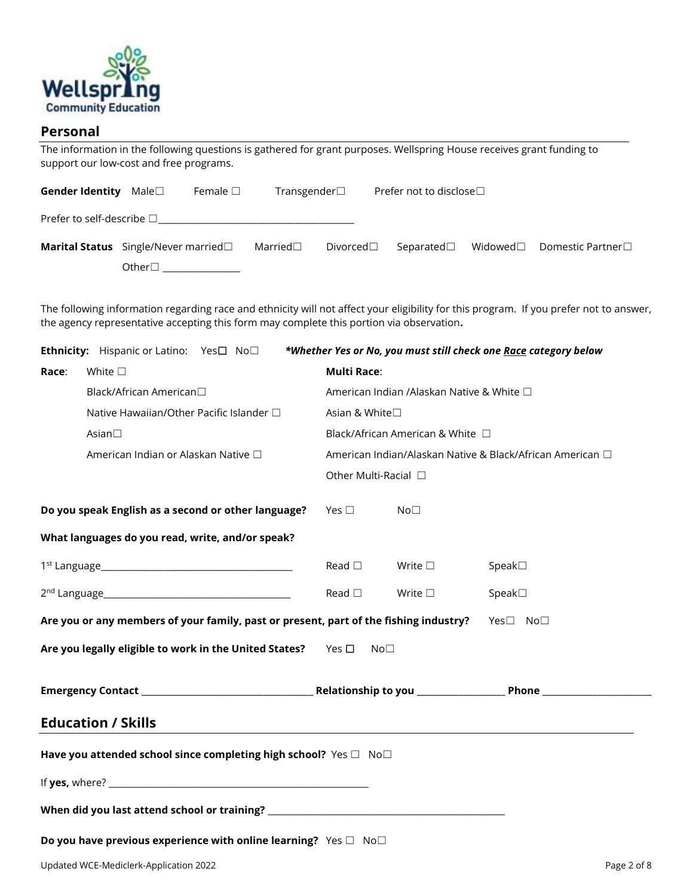

#### **Personal**

The information in the following questions is gathered for grant purposes. Wellspring House receives grant funding to support our low-cost and free programs.

| Gender Identity Male□                                          |                          | Female $\Box$ | Transgender $\Box$ |  | Prefer not to disclose $\Box$ |                                                                  |
|----------------------------------------------------------------|--------------------------|---------------|--------------------|--|-------------------------------|------------------------------------------------------------------|
| Prefer to self-describe $\square$                              |                          |               |                    |  |                               |                                                                  |
| <b>Marital Status</b> Single/Never married□ Married□ Divorced□ |                          |               |                    |  |                               | Separated $\square$ Widowed $\square$ Domestic Partner $\square$ |
|                                                                | Other□ _________________ |               |                    |  |                               |                                                                  |

The following information regarding race and ethnicity will not affect your eligibility for this program. If you prefer not to answer, the agency representative accepting this form may complete this portion via observation**.**

|                                                                                                   | Ethnicity: Hispanic or Latino: Yes□ No□             |                    |                                                           | *Whether Yes or No, you must still check one Race category below |  |  |  |
|---------------------------------------------------------------------------------------------------|-----------------------------------------------------|--------------------|-----------------------------------------------------------|------------------------------------------------------------------|--|--|--|
| Race:                                                                                             | White $\square$                                     | <b>Multi Race:</b> |                                                           |                                                                  |  |  |  |
|                                                                                                   | Black/African American□                             |                    | American Indian /Alaskan Native & White □                 |                                                                  |  |  |  |
|                                                                                                   | Native Hawaiian/Other Pacific Islander □            | Asian & White□     |                                                           |                                                                  |  |  |  |
|                                                                                                   | Asian $\square$                                     |                    | Black/African American & White □                          |                                                                  |  |  |  |
|                                                                                                   | American Indian or Alaskan Native □                 |                    | American Indian/Alaskan Native & Black/African American □ |                                                                  |  |  |  |
|                                                                                                   |                                                     |                    | Other Multi-Racial □                                      |                                                                  |  |  |  |
|                                                                                                   | Do you speak English as a second or other language? | Yes $\square$      | No <sub>1</sub>                                           |                                                                  |  |  |  |
|                                                                                                   | What languages do you read, write, and/or speak?    |                    |                                                           |                                                                  |  |  |  |
|                                                                                                   |                                                     | Read $\Box$        | Write $\square$                                           | Speak <sub>1</sub>                                               |  |  |  |
|                                                                                                   |                                                     | Read $\square$     | Write $\square$                                           | Speak <sub>1</sub>                                               |  |  |  |
| Are you or any members of your family, past or present, part of the fishing industry?<br>Yes□ No□ |                                                     |                    |                                                           |                                                                  |  |  |  |
| Are you legally eligible to work in the United States?<br>Yes $\square$<br>No <sub>1</sub>        |                                                     |                    |                                                           |                                                                  |  |  |  |
|                                                                                                   |                                                     |                    |                                                           |                                                                  |  |  |  |
| <b>Education / Skills</b>                                                                         |                                                     |                    |                                                           |                                                                  |  |  |  |
| Have you attended school since completing high school? Yes $\square$ No $\square$                 |                                                     |                    |                                                           |                                                                  |  |  |  |
|                                                                                                   |                                                     |                    |                                                           |                                                                  |  |  |  |
| When did you last attend school or training? ___________________________________                  |                                                     |                    |                                                           |                                                                  |  |  |  |
| Do you have previous experience with online learning? Yes $\square$ No $\square$                  |                                                     |                    |                                                           |                                                                  |  |  |  |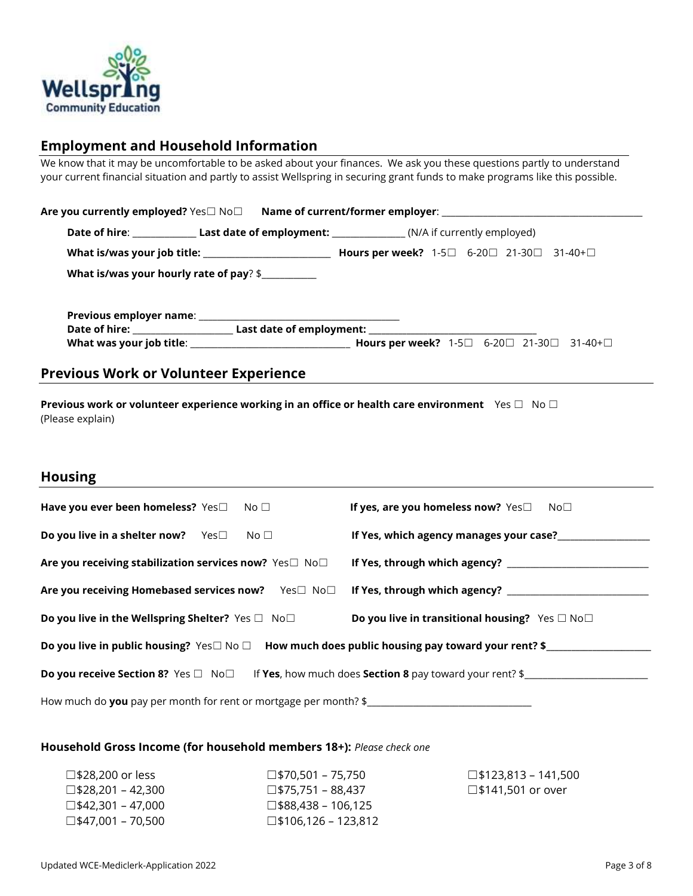

### **Employment and Household Information**

We know that it may be uncomfortable to be asked about your finances. We ask you these questions partly to understand your current financial situation and partly to assist Wellspring in securing grant funds to make programs like this possible.

| What is/was your hourly rate of pay? \$ |  |  |  |
|-----------------------------------------|--|--|--|
|                                         |  |  |  |
|                                         |  |  |  |
|                                         |  |  |  |

### **Previous Work or Volunteer Experience**

**Previous work or volunteer experience working in an office or health care environment** Yes □ No □ (Please explain)

#### **Housing**

| Have you ever been homeless? Yes $\Box$<br>No $\Box$                                                            | If yes, are you homeless now? $Yes \Box$<br>$No\square$         |  |  |  |
|-----------------------------------------------------------------------------------------------------------------|-----------------------------------------------------------------|--|--|--|
| <b>Do you live in a shelter now?</b> $Yes \Box$<br>No $\Box$                                                    | If Yes, which agency manages your case?                         |  |  |  |
| Are you receiving stabilization services now? Yes□ No□                                                          | If Yes, through which agency?                                   |  |  |  |
| Are you receiving Homebased services now? Yes□ No□ If Yes, through which agency?                                |                                                                 |  |  |  |
| Do you live in the Wellspring Shelter? Yes $\square$ No $\square$                                               | Do you live in transitional housing? Yes $\square$ No $\square$ |  |  |  |
| Do you live in public housing? Yes $\square$ No $\square$ How much does public housing pay toward your rent? \$ |                                                                 |  |  |  |
| If Yes, how much does Section 8 pay toward your rent? \$<br><b>Do you receive Section 8?</b> Yes □ No□          |                                                                 |  |  |  |
| How much do you pay per month for rent or mortgage per month? \$                                                |                                                                 |  |  |  |

#### **Household Gross Income (for household members 18+):** *Please check one*

| $\square$ \$28,200 or less  | $\square$ \$70.501 – 75.750   | $\square$ \$123.813 – 141.500 |
|-----------------------------|-------------------------------|-------------------------------|
| □\$28.201 – 42.300          | $\square$ \$75.751 – 88.437   | □\$141,501 or over            |
| $\square$ \$42.301 – 47.000 | $\square$ \$88.438 – 106.125  |                               |
| $\square$ \$47.001 – 70.500 | $\square$ \$106.126 – 123.812 |                               |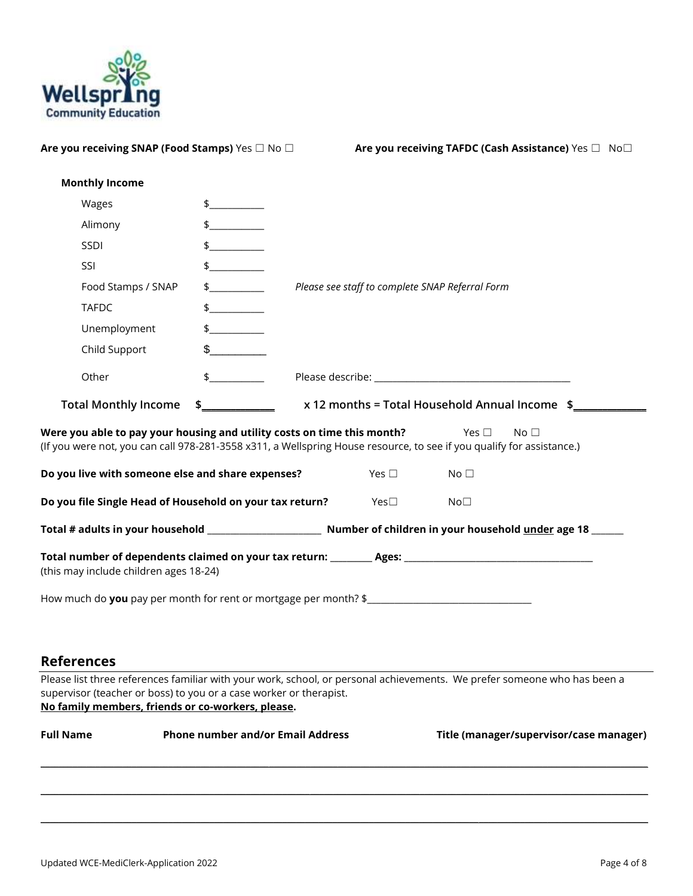

| Are you receiving SNAP (Food Stamps) Yes □ No □                                                                         |                                          |                                                 | Are you receiving TAFDC (Cash Assistance) Yes □ No□                                                                                                    |
|-------------------------------------------------------------------------------------------------------------------------|------------------------------------------|-------------------------------------------------|--------------------------------------------------------------------------------------------------------------------------------------------------------|
| <b>Monthly Income</b>                                                                                                   |                                          |                                                 |                                                                                                                                                        |
| Wages                                                                                                                   | $\frac{1}{2}$                            |                                                 |                                                                                                                                                        |
| Alimony                                                                                                                 | $\frac{1}{2}$                            |                                                 |                                                                                                                                                        |
| SSDI                                                                                                                    | $\frac{1}{2}$                            |                                                 |                                                                                                                                                        |
| SSI                                                                                                                     | $\frac{1}{2}$                            |                                                 |                                                                                                                                                        |
| Food Stamps / SNAP                                                                                                      | $\frac{1}{2}$                            | Please see staff to complete SNAP Referral Form |                                                                                                                                                        |
| <b>TAFDC</b>                                                                                                            | $\frac{1}{2}$                            |                                                 |                                                                                                                                                        |
| Unemployment                                                                                                            | $\frac{1}{2}$                            |                                                 |                                                                                                                                                        |
| Child Support                                                                                                           | $\sim$                                   |                                                 |                                                                                                                                                        |
| Other                                                                                                                   | $\updownarrow$                           |                                                 |                                                                                                                                                        |
| <b>Total Monthly Income</b>                                                                                             | $\frac{1}{2}$                            |                                                 | x 12 months = Total Household Annual Income \$                                                                                                         |
| Were you able to pay your housing and utility costs on time this month?                                                 |                                          |                                                 | Yes $\Box$<br>No <sub>1</sub><br>(If you were not, you can call 978-281-3558 x311, a Wellspring House resource, to see if you qualify for assistance.) |
| Do you live with someone else and share expenses?                                                                       |                                          | Yes $\square$                                   | No <sub>1</sub>                                                                                                                                        |
| Do you file Single Head of Household on your tax return?                                                                |                                          | Yes $\Box$                                      | No <sub>1</sub>                                                                                                                                        |
|                                                                                                                         |                                          |                                                 |                                                                                                                                                        |
| (this may include children ages 18-24)                                                                                  |                                          |                                                 |                                                                                                                                                        |
| How much do you pay per month for rent or mortgage per month? \$                                                        |                                          |                                                 |                                                                                                                                                        |
|                                                                                                                         |                                          |                                                 |                                                                                                                                                        |
| <b>References</b>                                                                                                       |                                          |                                                 |                                                                                                                                                        |
| supervisor (teacher or boss) to you or a case worker or therapist.<br>No family members, friends or co-workers, please. |                                          |                                                 | Please list three references familiar with your work, school, or personal achievements. We prefer someone who has been a                               |
| <b>Full Name</b>                                                                                                        | <b>Phone number and/or Email Address</b> |                                                 | Title (manager/supervisor/case manager)                                                                                                                |

 $\Box \Box \Box \Box \Box \Box \Box \Box$  . The set of the set of the set of the set of the set of the set of the set of the set of the set of the set of the set of the set of the set of the set of the set of the set of the set of the set of th

 $\mathcal{L} = \{ \mathcal{L} = \{ \mathcal{L} = \{ \mathcal{L} = \{ \mathcal{L} = \{ \mathcal{L} = \{ \mathcal{L} = \{ \mathcal{L} = \{ \mathcal{L} = \{ \mathcal{L} = \{ \mathcal{L} = \{ \mathcal{L} = \{ \mathcal{L} = \{ \mathcal{L} = \{ \mathcal{L} = \{ \mathcal{L} = \{ \mathcal{L} = \{ \mathcal{L} = \{ \mathcal{L} = \{ \mathcal{L} = \{ \mathcal{L} = \{ \mathcal{L} = \{ \mathcal{L} = \{ \mathcal{L} = \{ \mathcal{$ 

 $\mathcal{L} = \{ \mathcal{L} = \{ \mathcal{L} = \{ \mathcal{L} = \{ \mathcal{L} = \{ \mathcal{L} = \{ \mathcal{L} = \{ \mathcal{L} = \{ \mathcal{L} = \{ \mathcal{L} = \{ \mathcal{L} = \{ \mathcal{L} = \{ \mathcal{L} = \{ \mathcal{L} = \{ \mathcal{L} = \{ \mathcal{L} = \{ \mathcal{L} = \{ \mathcal{L} = \{ \mathcal{L} = \{ \mathcal{L} = \{ \mathcal{L} = \{ \mathcal{L} = \{ \mathcal{L} = \{ \mathcal{L} = \{ \mathcal{$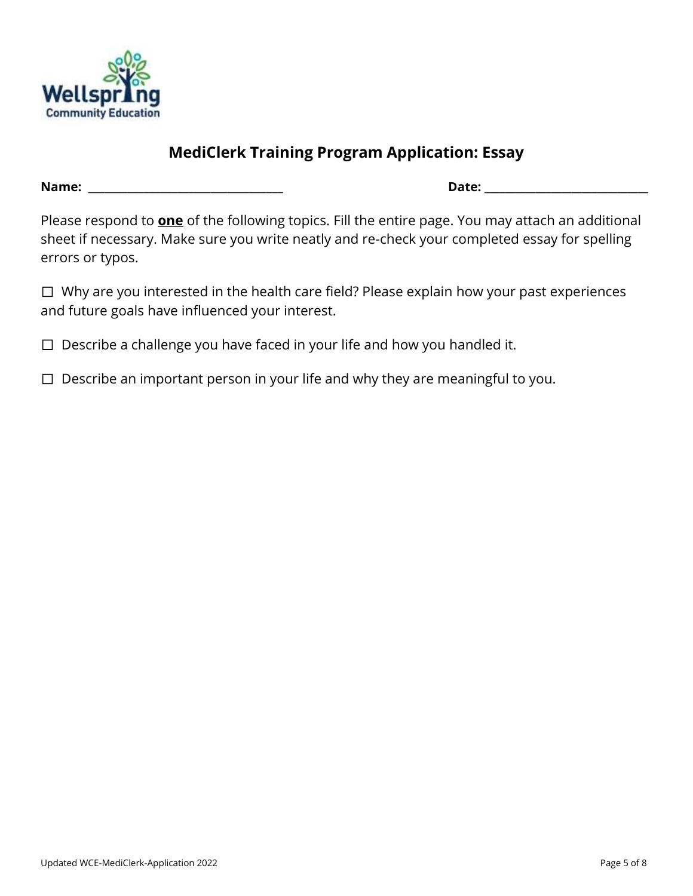

## **MediClerk Training Program Application: Essay**

**Name:** \_\_\_\_\_\_\_\_\_\_\_\_\_\_\_\_\_\_\_\_\_\_\_\_\_\_\_\_\_\_\_\_\_\_\_ **Date: \_\_\_\_\_\_\_\_\_\_\_\_\_\_\_\_\_\_\_\_\_\_\_\_\_\_\_\_\_\_\_\_**

Please respond to **one** of the following topics. Fill the entire page. You may attach an additional sheet if necessary. Make sure you write neatly and re-check your completed essay for spelling errors or typos.

☐ Why are you interested in the health care field? Please explain how your past experiences and future goals have influenced your interest.

- $\Box$  Describe a challenge you have faced in your life and how you handled it.
- $\Box$  Describe an important person in your life and why they are meaningful to you.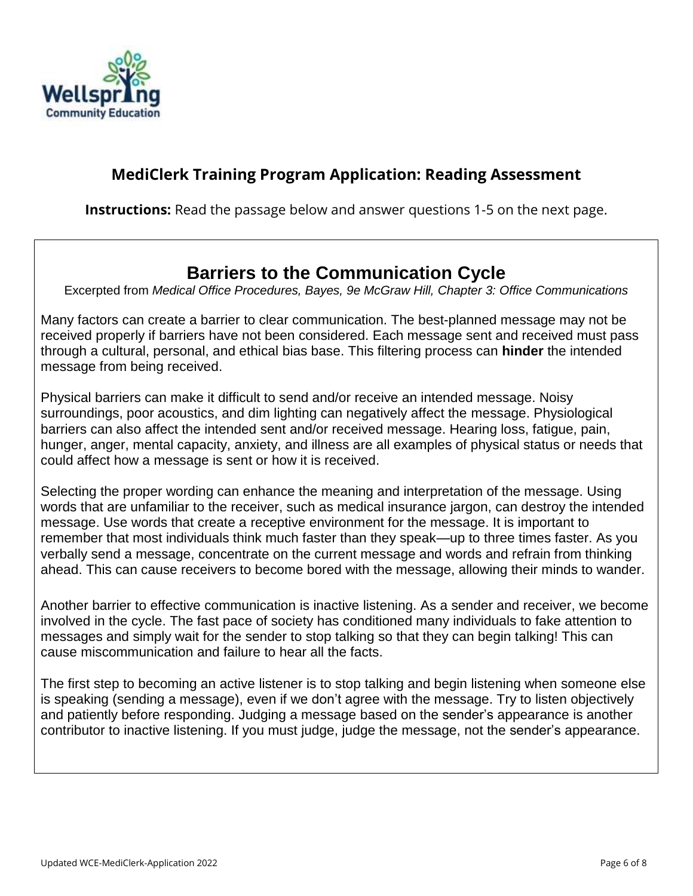

## **MediClerk Training Program Application: Reading Assessment**

**Instructions:** Read the passage below and answer questions 1-5 on the next page.

# **Barriers to the Communication Cycle**

Excerpted from *Medical Office Procedures, Bayes, 9e McGraw Hill, Chapter 3: Office Communications*

Many factors can create a barrier to clear communication. The best-planned message may not be received properly if barriers have not been considered. Each message sent and received must pass through a cultural, personal, and ethical bias base. This filtering process can **hinder** the intended message from being received.

Physical barriers can make it difficult to send and/or receive an intended message. Noisy surroundings, poor acoustics, and dim lighting can negatively affect the message. Physiological barriers can also affect the intended sent and/or received message. Hearing loss, fatigue, pain, hunger, anger, mental capacity, anxiety, and illness are all examples of physical status or needs that could affect how a message is sent or how it is received.

Selecting the proper wording can enhance the meaning and interpretation of the message. Using words that are unfamiliar to the receiver, such as medical insurance jargon, can destroy the intended message. Use words that create a receptive environment for the message. It is important to remember that most individuals think much faster than they speak—up to three times faster. As you verbally send a message, concentrate on the current message and words and refrain from thinking ahead. This can cause receivers to become bored with the message, allowing their minds to wander.

Another barrier to effective communication is inactive listening. As a sender and receiver, we become involved in the cycle. The fast pace of society has conditioned many individuals to fake attention to messages and simply wait for the sender to stop talking so that they can begin talking! This can cause miscommunication and failure to hear all the facts.

The first step to becoming an active listener is to stop talking and begin listening when someone else is speaking (sending a message), even if we don't agree with the message. Try to listen objectively and patiently before responding. Judging a message based on the sender's appearance is another contributor to inactive listening. If you must judge, judge the message, not the sender's appearance.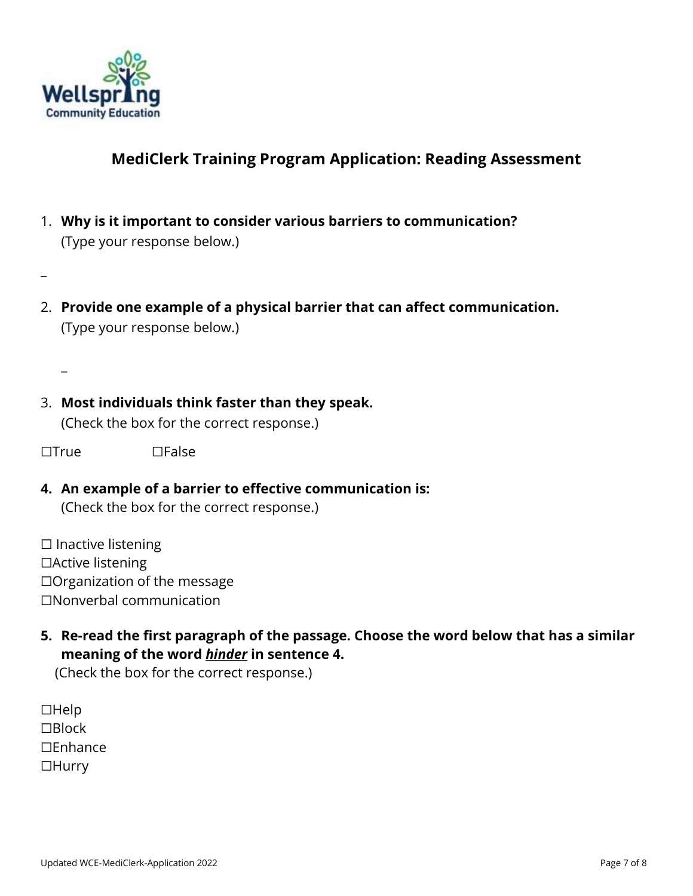

 $\overline{\phantom{a}}$ 

 $\overline{\phantom{a}}$ 

## **MediClerk Training Program Application: Reading Assessment**

- 1. **Why is it important to consider various barriers to communication?**  (Type your response below.)
- 2. **Provide one example of a physical barrier that can affect communication.** (Type your response below.)

3. **Most individuals think faster than they speak.** (Check the box for the correct response.)

☐True ☐False

### **4. An example of a barrier to effective communication is:** (Check the box for the correct response.)

☐ Inactive listening ☐Active listening ☐Organization of the message ☐Nonverbal communication

**5. Re-read the first paragraph of the passage. Choose the word below that has a similar meaning of the word** *hinder* **in sentence 4.**

(Check the box for the correct response.)

☐Help ☐Block ☐Enhance ☐Hurry